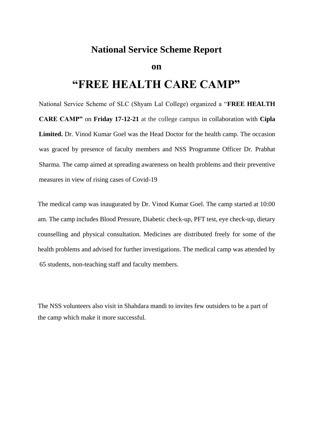## **National Service Scheme Report**

## **on**

## **"FREE HEALTH CARE CAMP"**

National Service Scheme of SLC (Shyam Lal College) organized a "**FREE HEALTH CARE CAMP"** on **Friday 17-12-21** at the college campus in collaboration with **Cipla Limited.** Dr. Vinod Kumar Goel was the Head Doctor for the health camp. The occasion was graced by presence of faculty members and NSS Programme Officer Dr. Prabhat Sharma. The camp aimed at spreading awareness on health problems and their preventive measures in view of rising cases of Covid-19

The medical camp was inaugurated by Dr. Vinod Kumar Goel. The camp started at 10:00 am. The camp includes Blood Pressure, Diabetic check-up, PFT test, eye check-up, dietary counselling and physical consultation. Medicines are distributed freely for some of the health problems and advised for further investigations. The medical camp was attended by 65 students, non-teaching staff and faculty members.

The NSS volunteers also visit in Shahdara mandi to invites few outsiders to be a part of the camp which make it more successful.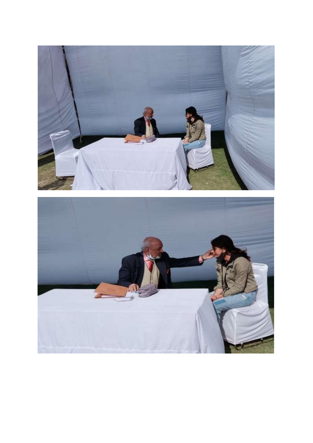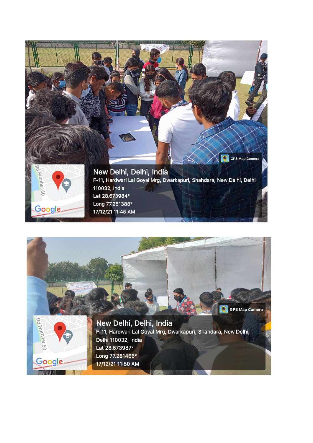

C GPS Map Camera Rd Number 60 New Delhi, Delhi, India F-11, Hardwari Lal Goyal Mrg, Dwarkapuri, Shahdara, New Delhi, Delhi 110032, India Lat 28.673987° Long 77.281466° Google 17/12/21 11:50 AM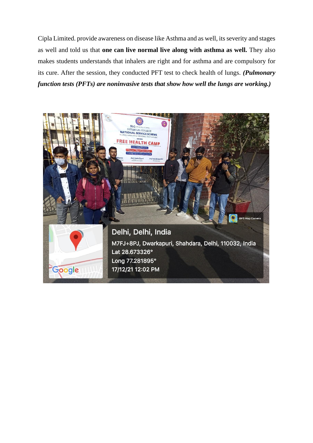Cipla Limited. provide awareness on disease like Asthma and as well, its severity and stages as well and told us that **one can live normal live along with asthma as well.** They also makes students understands that inhalers are right and for asthma and are compulsory for its cure. After the session, they conducted PFT test to check health of lungs. *(Pulmonary function tests (PFTs) are noninvasive tests that show how well the lungs are working.)*